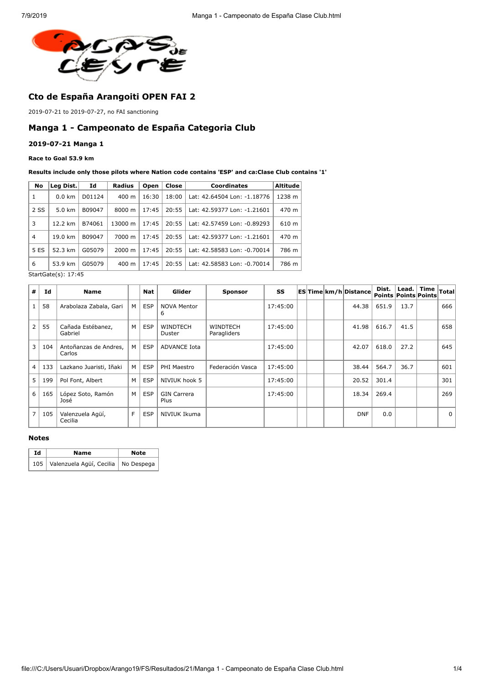

# **Cto de España Arangoiti OPEN FAI 2**

2019-07-21 to 2019-07-27, no FAI sanctioning

## **Manga 1 - Campeonato de España Categoria Club**

### **2019-07-21 Manga 1**

#### **Race to Goal 53.9 km**

#### **Results include only those pilots where Nation code contains 'ESP' and ca:Clase Club contains '1'**

| No             | Leg Dist.        | Id     | <b>Radius</b>      | Open  | Close | <b>Coordinates</b>          | <b>Altitude</b> |
|----------------|------------------|--------|--------------------|-------|-------|-----------------------------|-----------------|
| 1              | $0.0 \text{ km}$ | D01124 | 400 m              | 16:30 | 18:00 | Lat: 42.64504 Lon: -1.18776 | 1238 m          |
| 2 SS           | 5.0 km           | B09047 | 8000 m             | 17:45 | 20:55 | Lat: 42.59377 Lon: -1.21601 | 470 m           |
| 3              | 12.2 km          | B74061 | 13000 m            | 17:45 | 20:55 | Lat: 42.57459 Lon: -0.89293 | 610 m           |
| $\overline{4}$ | 19.0 km          | B09047 | 7000 m             | 17:45 | 20:55 | Lat: 42.59377 Lon: -1.21601 | 470 m           |
| 5 ES           | 52.3 km          | G05079 | $2000 \; \text{m}$ | 17:45 | 20:55 | Lat: 42.58583 Lon: -0.70014 | 786 m           |
| 6              | 53.9 km          | G05079 | $400 \text{ m}$    | 17:45 | 20:55 | Lat: 42.58583 Lon: -0.70014 | 786 m           |

StartGate(s): 17:45

| #              | Id  | <b>Name</b>                     |   | <b>Nat</b> | Glider                     | <b>Sponsor</b>                 | SS       |  | <b>ESTime km/h Distance</b> | Dist.<br>Points Points Points | Lead. | <b>Time</b> | Total    |
|----------------|-----|---------------------------------|---|------------|----------------------------|--------------------------------|----------|--|-----------------------------|-------------------------------|-------|-------------|----------|
|                | 58  | Arabolaza Zabala, Gari          | M | <b>ESP</b> | <b>NOVA Mentor</b><br>6    |                                | 17:45:00 |  | 44.38                       | 651.9                         | 13.7  |             | 666      |
| $\overline{2}$ | 55  | Cañada Estébanez,<br>Gabriel    | M | <b>ESP</b> | <b>WINDTECH</b><br>Duster  | <b>WINDTECH</b><br>Paragliders | 17:45:00 |  | 41.98                       | 616.7                         | 41.5  |             | 658      |
| 3              | 104 | Antoñanzas de Andres,<br>Carlos | M | <b>ESP</b> | <b>ADVANCE Iota</b>        |                                | 17:45:00 |  | 42.07                       | 618.0                         | 27.2  |             | 645      |
| $\overline{4}$ | 133 | Lazkano Juaristi, Iñaki         | M | <b>ESP</b> | PHI Maestro                | Federación Vasca               | 17:45:00 |  | 38.44                       | 564.7                         | 36.7  |             | 601      |
| 5              | 199 | Pol Font, Albert                | M | <b>ESP</b> | NIVIUK hook 5              |                                | 17:45:00 |  | 20.52                       | 301.4                         |       |             | 301      |
| 6              | 165 | López Soto, Ramón<br>José       | M | <b>ESP</b> | <b>GIN Carrera</b><br>Plus |                                | 17:45:00 |  | 18.34                       | 269.4                         |       |             | 269      |
| $\overline{7}$ | 105 | Valenzuela Agüí,<br>Cecilia     | F | <b>ESP</b> | NIVIUK Ikuma               |                                |          |  | <b>DNF</b>                  | 0.0                           |       |             | $\Omega$ |

#### **Notes**

| Id | Name                                      | <b>Note</b> |  |  |
|----|-------------------------------------------|-------------|--|--|
|    | 105 Valenzuela Agüí, Cecilia   No Despega |             |  |  |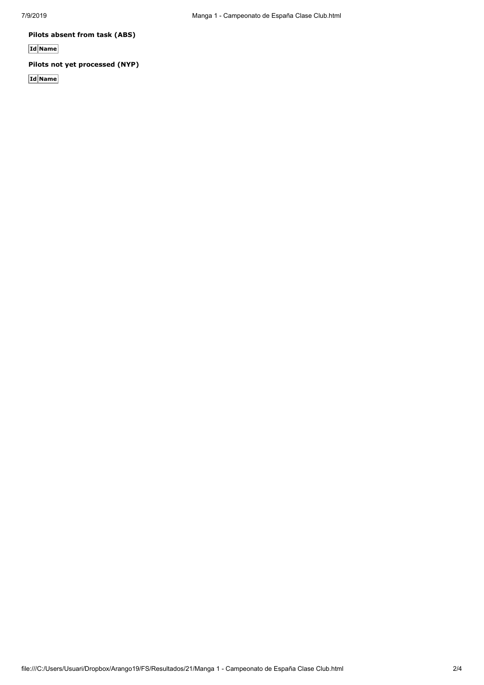**Pilots absent from task (ABS)**

**Id Name**

## **Pilots not yet processed (NYP)**

**Id Name**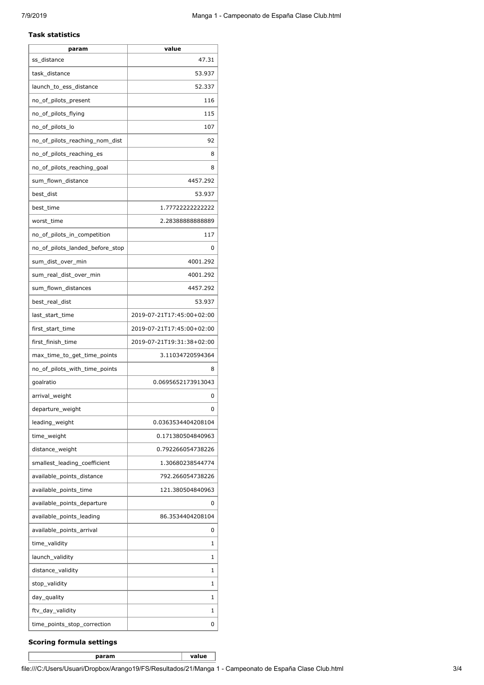#### **Task statistics**

| param                           | value                     |
|---------------------------------|---------------------------|
| ss distance                     | 47.31                     |
| task_distance                   | 53.937                    |
| launch_to_ess_distance          | 52.337                    |
| no_of_pilots_present            | 116                       |
| no_of_pilots_flying             | 115                       |
| no_of_pilots_lo                 | 107                       |
| no_of_pilots_reaching_nom_dist  | 92                        |
| no_of_pilots_reaching_es        | 8                         |
| no_of_pilots_reaching_goal      | 8                         |
| sum_flown_distance              | 4457.292                  |
| best_dist                       | 53.937                    |
| best_time                       | 1.77722222222222          |
| worst_time                      | 2.2838888888889           |
| no of pilots in competition     | 117                       |
| no of pilots landed before stop | 0                         |
| sum_dist_over_min               | 4001.292                  |
| sum_real_dist_over_min          | 4001.292                  |
| sum_flown_distances             | 4457.292                  |
| best_real_dist                  | 53.937                    |
| last_start_time                 | 2019-07-21T17:45:00+02:00 |
| first_start_time                | 2019-07-21T17:45:00+02:00 |
| first_finish_time               | 2019-07-21T19:31:38+02:00 |
| max_time_to_get_time_points     | 3.11034720594364          |
| no_of_pilots_with_time_points   | 8                         |
| goalratio                       | 0.0695652173913043        |
| arrival weight                  | 0                         |
| departure_weight                | 0                         |
| leading_weight                  | 0.0363534404208104        |
| time_weight                     | 0.171380504840963         |
| distance_weight                 | 0.792266054738226         |
| smallest_leading_coefficient    | 1.30680238544774          |
| available_points_distance       | 792.266054738226          |
| available_points_time           | 121.380504840963          |
| available_points_departure      | 0                         |
| available_points_leading        | 86.3534404208104          |
| available_points_arrival        | 0                         |
| time_validity                   | 1                         |
| launch_validity                 | 1                         |
| distance_validity               | 1                         |
| stop_validity                   | 1                         |
| day_quality                     | 1                         |
| ftv_day_validity                | 1                         |
| time_points_stop_correction     | 0                         |

### **Scoring formula settings**

**param value**